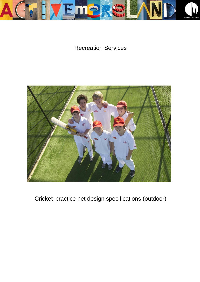

# Recreation Services



Cricket practice net design specifications (outdoor)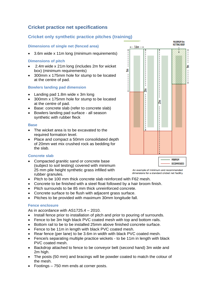# **Cricket practice net specifications**

# **Cricket only synthetic practice pitches (training)**

# **Dimensions of single net (fenced area)**

3.6m wide x 11m long (minimum requirements)

### **Dimensions of pitch**

- 2.4m wide x 21m long (includes 2m for wicket box) (minimum requirements)
- 300mm x 175mm hole for stump to be located at the centre of pad.

### **Bowlers landing pad dimension**

- Landing pad 1.8m wide x 3m long
- 300mm x 175mm hole for stump to be located at the centre of pad.
- Base: concrete slab (refer to concrete slab)
- Bowlers landing pad surface all season synthetic with rubber fleck

#### **Base**

- The wicket area is to be excavated to the required formation level.
- Place and compact a 50mm consolidated depth of 20mm wet mix crushed rock as bedding for the slab.

# **Concrete slab**

 Compacted granitic sand or concrete base (subject to soil testing) covered with minimum 25 mm pile height synthetic grass infilled with rubber granules.

Ę 트  $\mathbf{I}$ ξ  $\frac{1}{1}$ g **MINIMIIM** RECOMMENDED

 $- - 3.6m - +$ 

MAXIMUM 9m **NETTING ROOF** 

An example of minimum and recommended dimensions for a standard cricket net facility.

- Pitch to be 100 mm thick concrete slab reinforced with F62 mesh.
- Concrete to be finished with a steel float followed by a hair broom finish.
- Pitch surrounds to be 85 mm thick unreinforced concrete.
- Concrete surface to be flush with adjacent grass surface.
- Pitches to be provided with maximum 30mm longitude fall.

# **Fence enclosure**

As in accordance with AS1725.4 – 2010.

- Install fence prior to installation of pitch and prior to pouring of surrounds.
- Fence to be 3m high black PVC coated mesh with top and bottom rails.
- Bottom rail to be to be installed 25mm above finished concrete surface.
- Fence to be 11m in length with black PVC coated mesh.
- Rear fence (per lane) to be 3.6m in width with black PVC coated mesh.
- Fence/s separating multiple practice wickets to be 11m in length with black PVC coated mesh.
- Backdrop attached to fence to be conveyor belt (second hand) 3m wide and 2m high.
- The posts (50 mm) and bracings will be powder coated to match the colour of the mesh.
- Footings 750 mm ends at corner posts.